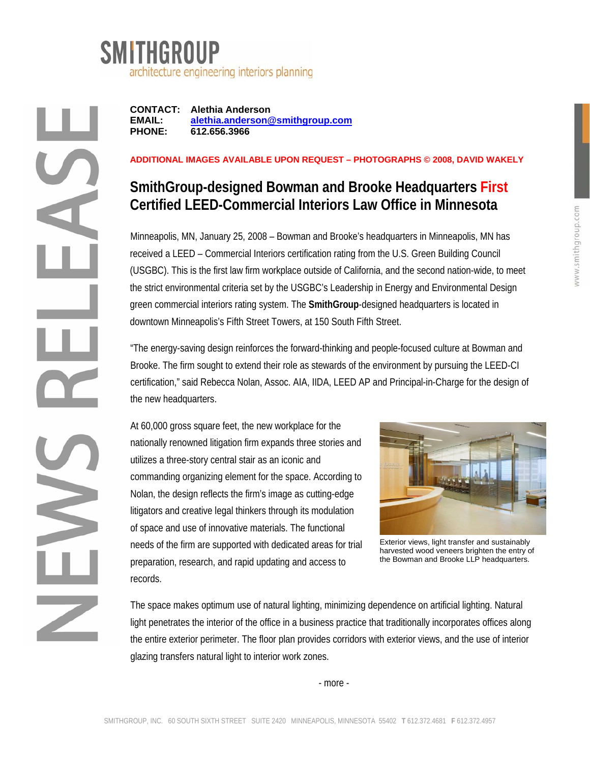

**CONTACT: Alethia Anderson EMAIL: alethia.anderson@smithgroup.com PHONE: 612.656.3966** 

## **ADDITIONAL IMAGES AVAILABLE UPON REQUEST – PHOTOGRAPHS © 2008, DAVID WAKELY**

## **SmithGroup-designed Bowman and Brooke Headquarters First Certified LEED-Commercial Interiors Law Office in Minnesota**

Minneapolis, MN, January 25, 2008 – Bowman and Brooke's headquarters in Minneapolis, MN has received a LEED – Commercial Interiors certification rating from the U.S. Green Building Council (USGBC). This is the first law firm workplace outside of California, and the second nation-wide, to meet the strict environmental criteria set by the USGBC's Leadership in Energy and Environmental Design green commercial interiors rating system. The **SmithGroup**-designed headquarters is located in downtown Minneapolis's Fifth Street Towers, at 150 South Fifth Street.

"The energy-saving design reinforces the forward-thinking and people-focused culture at Bowman and Brooke. The firm sought to extend their role as stewards of the environment by pursuing the LEED-CI certification," said Rebecca Nolan, Assoc. AIA, IIDA, LEED AP and Principal-in-Charge for the design of the new headquarters.

At 60,000 gross square feet, the new workplace for the nationally renowned litigation firm expands three stories and utilizes a three-story central stair as an iconic and commanding organizing element for the space. According to Nolan, the design reflects the firm's image as cutting-edge litigators and creative legal thinkers through its modulation of space and use of innovative materials. The functional needs of the firm are supported with dedicated areas for trial preparation, research, and rapid updating and access to records.



Exterior views, light transfer and sustainably harvested wood veneers brighten the entry of the Bowman and Brooke LLP headquarters.

The space makes optimum use of natural lighting, minimizing dependence on artificial lighting. Natural light penetrates the interior of the office in a business practice that traditionally incorporates offices along the entire exterior perimeter. The floor plan provides corridors with exterior views, and the use of interior glazing transfers natural light to interior work zones.

- more -